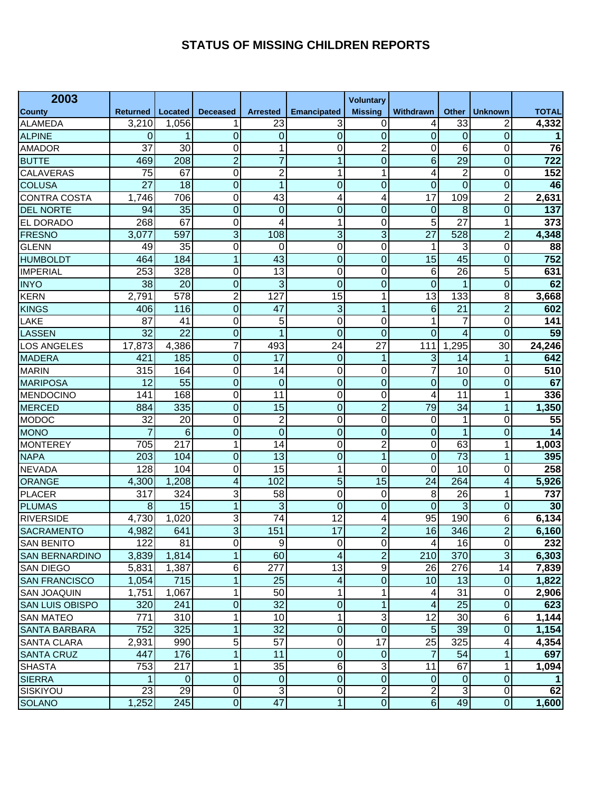## **STATUS OF MISSING CHILDREN REPORTS**

| 2003                   |                 |                  |                 |                 |                    | <b>Voluntary</b> |                 |                 |                |                 |
|------------------------|-----------------|------------------|-----------------|-----------------|--------------------|------------------|-----------------|-----------------|----------------|-----------------|
| County                 | <b>Returned</b> | Located          | <b>Deceased</b> | <b>Arrested</b> | <b>Emancipated</b> | <b>Missing</b>   | Withdrawn       | Other           | <b>Unknown</b> | <b>TOTAL</b>    |
| <b>ALAMEDA</b>         | 3,210           | 1,056            | 1               | 23              | 3                  | 0                | 4               | 33              |                | 4,332           |
| <b>ALPINE</b>          | 0               |                  | 0               | 0               | 0                  | $\overline{0}$   | $\overline{0}$  | 0               | $\Omega$       |                 |
| <b>AMADOR</b>          | 37              | 30               | 0               | 1               | $\overline{0}$     | $\overline{2}$   | $\Omega$        | 6               | $\Omega$       | 76              |
| <b>BUTTE</b>           | 469             | 208              | $\overline{2}$  | $\overline{7}$  | 1                  | $\overline{0}$   | $6\phantom{1}6$ | $\overline{29}$ | $\mathbf 0$    | 722             |
| <b>CALAVERAS</b>       | 75              | 67               | 0               | $\overline{c}$  | 1                  | 1                | 4               | 2               | 0              | 152             |
| <b>COLUSA</b>          | $\overline{27}$ | 18               | $\overline{0}$  | 1               | $\mathbf 0$        | $\overline{0}$   | $\overline{0}$  | $\overline{0}$  | 0              | 46              |
| <b>CONTRA COSTA</b>    | 1,746           | 706              | 0               | 43              | 4                  | 4                | 17              | 109             | $\overline{2}$ | 2,631           |
| <b>DEL NORTE</b>       | 94              | 35               | $\overline{0}$  | 0               | $\mathbf 0$        | $\mathbf 0$      | $\overline{0}$  | 8               | 0              | 137             |
| EL DORADO              | 268             | 67               | 0               | 4               | 1                  | 0                | 5               | 27              | 1              | 373             |
| <b>FRESNO</b>          | 3,077           | 597              | 3               | 108             | 3                  | 3                | $\overline{27}$ | 528             | $\overline{2}$ | 4,348           |
| <b>GLENN</b>           | 49              | 35               | 0               | $\Omega$        | $\mathbf 0$        | 0                | 1               | 3               | 0              | 88              |
| <b>HUMBOLDT</b>        | 464             | 184              | 1               | 43              | $\overline{0}$     | $\mathbf 0$      | 15              | 45              | $\mathbf 0$    | 752             |
| <b>IMPERIAL</b>        | 253             | 328              | 0               | 13              | 0                  | 0                | 6               | 26              | 5              | 631             |
| <b>INYO</b>            | 38              | 20               | 0               | 3               | $\overline{0}$     | $\mathbf 0$      | $\mathbf 0$     | 1               | 0              | 62              |
| <b>KERN</b>            | 2,791           | 578              | $\overline{2}$  | 127             | 15                 | 1                | 13              | 133             | 8              | 3,668           |
| <b>KINGS</b>           | 406             | 116              | $\overline{0}$  | 47              | 3                  | 1                | 6               | 21              | $\overline{2}$ | 602             |
| LAKE                   | 87              | 41               | 0               | 5               | $\mathbf 0$        | 0                | 1               | 7               | 0              | 141             |
| <b>LASSEN</b>          | 32              | 22               | $\overline{0}$  | 1               | $\overline{0}$     | $\overline{0}$   | $\Omega$        | 4               | $\Omega$       | 59              |
| <b>LOS ANGELES</b>     | 17,873          | 4,386            | 7               | 493             | $\overline{24}$    | $\overline{27}$  | 111             | ,295<br>1       | 30             | 24,246          |
| <b>MADERA</b>          | 421             | 185              | $\overline{0}$  | $\overline{17}$ | 0                  | 1                | 3               | 14              | 1              | 642             |
| <b>MARIN</b>           | 315             | 164              | 0               | 14              | $\mathbf 0$        | 0                | 7               | 10              | 0              | 510             |
| <b>MARIPOSA</b>        | 12              | $\overline{55}$  | $\overline{0}$  | $\mathbf 0$     | $\mathbf 0$        | $\overline{0}$   | $\overline{0}$  | 0               | 0              | 67              |
| <b>MENDOCINO</b>       | 141             | 168              | 0               | $\overline{11}$ | 0                  | 0                | 4               | 11              | 1              | 336             |
| <b>MERCED</b>          | 884             | 335              | $\overline{0}$  | 15              | $\overline{0}$     | $\overline{2}$   | 79              | 34              | 1              | 1,350           |
| <b>MODOC</b>           | 32              | 20               | 0               | $\overline{c}$  | 0                  | 0                | 0               | 1               | 0              | 55              |
| <b>MONO</b>            |                 | 6                | $\overline{0}$  | $\overline{0}$  | $\overline{0}$     | $\overline{0}$   | $\mathbf 0$     | 1               | $\mathbf 0$    | $\overline{14}$ |
| <b>MONTEREY</b>        | 705             | $21\overline{7}$ | 1               | 14              | $\mathbf 0$        | $\overline{c}$   | 0               | 63              | 1              | 1,003           |
| <b>NAPA</b>            | 203             | 104              | $\overline{0}$  | 13              | $\overline{0}$     | 1                | $\mathbf 0$     | $\overline{73}$ | 1              | 395             |
| <b>NEVADA</b>          | 128             | 104              | 0               | 15              | 1                  | 0                | 0               | 10              | 0              | 258             |
| <b>ORANGE</b>          | 4,300           | 1,208            | 4               | 102             | 5                  | 15               | 24              | 264             | 4              | 5,926           |
| <b>PLACER</b>          | 317             | 324              | 3               | 58              | $\mathbf 0$        | 0                | 8               | 26              | 1              | 737             |
| <b>PLUMAS</b>          | 8               | 15               | $\mathbf{1}$    | 3               | $\overline{0}$     | $\mathbf 0$      | $\Omega$        | 3               | $\Omega$       | 30              |
| <b>RIVERSIDE</b>       | 4,730           | 1,020            | 3               | 74              | 12                 | 4                | 95              | 190             | 6              | 6,134           |
| <b>SACRAMENTO</b>      | 4,982           | 641              | 3               | 151             | 17                 | $\overline{2}$   | 16              | 346             | $\overline{2}$ | 6,160           |
| <b>SAN BENITO</b>      | 122             | 81               | $\overline{0}$  | 9               | $\mathbf 0$        | $\pmb{0}$        | 4               | 16              | $\mathbf 0$    | 232             |
| <b>SAN BERNARDINO</b>  | 3,839           | 1,814            | $\mathbf{1}$    | 60              | 4                  | $\overline{2}$   | 210             | 370             | $\overline{3}$ | 6,303           |
| <b>SAN DIEGO</b>       | 5,831           | 1,387            | 6               | 277             | 13                 | $\overline{9}$   | 26              | 276             | 14             | 7,839           |
| <b>SAN FRANCISCO</b>   | 1,054           | 715              | $\mathbf{1}$    | 25              | 4                  | 0                | 10              | 13              | $\mathbf 0$    | 1,822           |
| <b>SAN JOAQUIN</b>     | 1,751           | 1,067            | 1               | 50              | 1                  | 1                | 4               | 31              | 0              | 2,906           |
| <b>SAN LUIS OBISPO</b> | 320             | 241              | $\mathbf 0$     | $\overline{32}$ | $\mathbf 0$        | $\overline{1}$   | 4               | $\overline{25}$ | $\mathbf 0$    | 623             |
| <b>SAN MATEO</b>       | 771             | 310              | 1               | 10              | $\mathbf{1}$       | 3                | 12              | 30              | 6              | 1,144           |
| <b>SANTA BARBARA</b>   | 752             | 325              | 1               | $\overline{32}$ | $\boldsymbol{0}$   | $\boldsymbol{0}$ | 5               | 39              | $\mathbf 0$    | 1,154           |
| SANTA CLARA            | 2,931           | 990              | 5               | $\overline{57}$ | $\mathbf 0$        | 17               | 25              | 325             | 4              | 4,354           |
| <b>SANTA CRUZ</b>      | 447             | 176              | $\mathbf 1$     | 11              | $\boldsymbol{0}$   | $\pmb{0}$        | $\overline{7}$  | 54              | 1              | 697             |
| <b>SHASTA</b>          | 753             | 217              | 1               | $\overline{35}$ | 6                  | 3                | 11              | 67              | 1              | 1,094           |
| <b>SIERRA</b>          |                 | 0                | 0               | $\mathbf 0$     | $\mathbf 0$        | 0                | $\mathbf 0$     | 0               | $\mathbf 0$    |                 |
| <b>SISKIYOU</b>        | 23              | 29               | 0               | 3               | $\overline{0}$     | $\overline{2}$   | $\overline{2}$  | $\overline{3}$  | 0              | 62              |
| <b>SOLANO</b>          | 1,252           | 245              | 0               | 47              | $\mathbf 1$        | $\overline{0}$   | $\overline{6}$  | 49              | $\overline{0}$ | 1,600           |